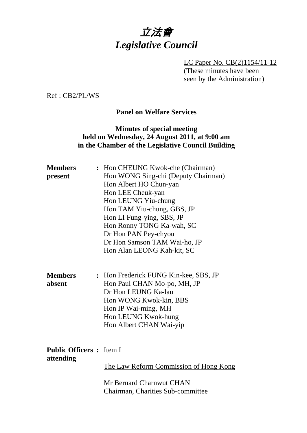# 立法會 *Legislative Council*

LC Paper No. CB(2)1154/11-12 (These minutes have been seen by the Administration)

Ref : CB2/PL/WS

## **Panel on Welfare Services**

# **Minutes of special meeting held on Wednesday, 24 August 2011, at 9:00 am in the Chamber of the Legislative Council Building**

| <b>Members</b><br>present                    | : Hon CHEUNG Kwok-che (Chairman)<br>Hon WONG Sing-chi (Deputy Chairman)<br>Hon Albert HO Chun-yan<br>Hon LEE Cheuk-yan                                                                            |
|----------------------------------------------|---------------------------------------------------------------------------------------------------------------------------------------------------------------------------------------------------|
|                                              | Hon LEUNG Yiu-chung<br>Hon TAM Yiu-chung, GBS, JP<br>Hon LI Fung-ying, SBS, JP<br>Hon Ronny TONG Ka-wah, SC<br>Dr Hon PAN Pey-chyou<br>Dr Hon Samson TAM Wai-ho, JP<br>Hon Alan LEONG Kah-kit, SC |
| <b>Members</b><br>absent                     | : Hon Frederick FUNG Kin-kee, SBS, JP<br>Hon Paul CHAN Mo-po, MH, JP<br>Dr Hon LEUNG Ka-lau<br>Hon WONG Kwok-kin, BBS<br>Hon IP Wai-ming, MH<br>Hon LEUNG Kwok-hung<br>Hon Albert CHAN Wai-yip    |
| <b>Public Officers : Item I</b><br>attending | <u>The Law Reform Commission of Hong Kong</u>                                                                                                                                                     |
|                                              | Mr Bernard Charnwut CHAN<br>Chairman, Charities Sub-committee                                                                                                                                     |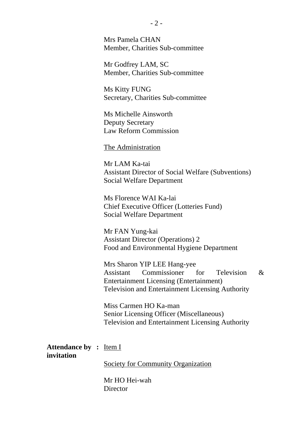Mrs Pamela CHAN Member, Charities Sub-committee

Mr Godfrey LAM, SC Member, Charities Sub-committee

Ms Kitty FUNG Secretary, Charities Sub-committee

Ms Michelle Ainsworth Deputy Secretary Law Reform Commission

The Administration

Mr LAM Ka-tai Assistant Director of Social Welfare (Subventions) Social Welfare Department

Ms Florence WAI Ka-lai Chief Executive Officer (Lotteries Fund) Social Welfare Department

Mr FAN Yung-kai Assistant Director (Operations) 2 Food and Environmental Hygiene Department

Mrs Sharon YIP LEE Hang-yee Assistant Commissioner for Television & Entertainment Licensing (Entertainment) Television and Entertainment Licensing Authority

Miss Carmen HO Ka-man Senior Licensing Officer (Miscellaneous) Television and Entertainment Licensing Authority

Attendance by : **Item I invitation** 

Society for Community Organization

Mr HO Hei-wah **Director**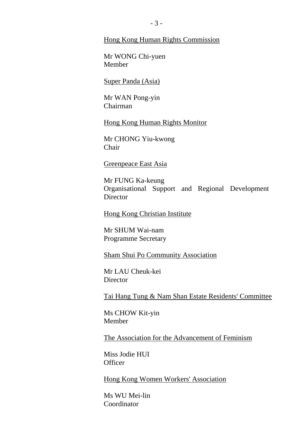#### Hong Kong Human Rights Commission

Mr WONG Chi-yuen Member

Super Panda (Asia)

Mr WAN Pong-yin Chairman

Hong Kong Human Rights Monitor

Mr CHONG Yiu-kwong Chair

#### Greenpeace East Asia

Mr FUNG Ka-keung Organisational Support and Regional Development Director

Hong Kong Christian Institute

Mr SHUM Wai-nam Programme Secretary

Sham Shui Po Community Association

Mr LAU Cheuk-kei **Director** 

Tai Hang Tung & Nam Shan Estate Residents' Committee

Ms CHOW Kit-yin Member

The Association for the Advancement of Feminism

Miss Jodie HUI **Officer** 

Hong Kong Women Workers' Association

Ms WU Mei-lin Coordinator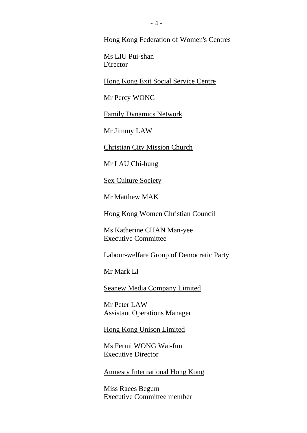Hong Kong Federation of Women's Centres

Ms LIU Pui-shan **Director** 

Hong Kong Exit Social Service Centre

Mr Percy WONG

**Family Dynamics Network** 

Mr Jimmy LAW

Christian City Mission Church

Mr LAU Chi-hung

Sex Culture Society

Mr Matthew MAK

Hong Kong Women Christian Council

Ms Katherine CHAN Man-yee Executive Committee

Labour-welfare Group of Democratic Party

Mr Mark LI

**Seanew Media Company Limited** 

Mr Peter LAW Assistant Operations Manager

Hong Kong Unison Limited

Ms Fermi WONG Wai-fun Executive Director

Amnesty International Hong Kong

Miss Raees Begum Executive Committee member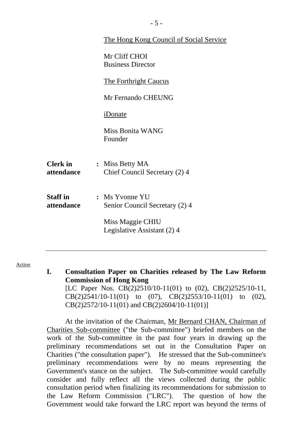|                               | <u>The Hong Kong Council of Social Service</u>   |
|-------------------------------|--------------------------------------------------|
|                               | Mr Cliff CHOI<br><b>Business Director</b>        |
|                               | The Forthright Caucus                            |
|                               | Mr Fernando CHEUNG                               |
|                               | iDonate                                          |
|                               | <b>Miss Bonita WANG</b><br>Founder               |
| <b>Clerk in</b><br>attendance | : Miss Betty MA<br>Chief Council Secretary (2) 4 |
| <b>Staff</b> in<br>attendance | : Ms Yvonne YU<br>Senior Council Secretary (2) 4 |
|                               | Miss Maggie CHIU<br>Legislative Assistant (2) 4  |

**I. Consultation Paper on Charities released by The Law Reform Commission of Hong Kong**  [LC Paper Nos. CB(2)2510/10-11(01) to (02), CB(2)2525/10-11, CB(2)2541/10-11(01) to (07), CB(2)2553/10-11(01) to (02),

CB(2)2572/10-11(01) and CB(2)2604/10-11(01)]

At the invitation of the Chairman, Mr Bernard CHAN, Chairman of Charities Sub-committee ("the Sub-committee") briefed members on the work of the Sub-committee in the past four years in drawing up the preliminary recommendations set out in the Consultation Paper on Charities ("the consultation paper"). He stressed that the Sub-committee's preliminary recommendations were by no means representing the Government's stance on the subject. The Sub-committee would carefully consider and fully reflect all the views collected during the public consultation period when finalizing its recommendations for submission to the Law Reform Commission ("LRC"). The question of how the Government would take forward the LRC report was beyond the terms of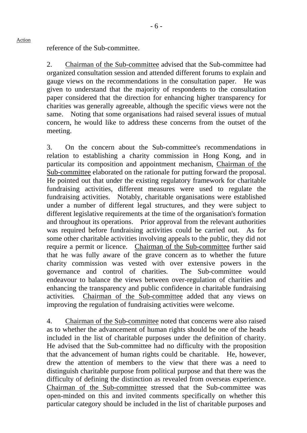reference of the Sub-committee.

Action

2. Chairman of the Sub-committee advised that the Sub-committee had organized consultation session and attended different forums to explain and gauge views on the recommendations in the consultation paper. He was given to understand that the majority of respondents to the consultation paper considered that the direction for enhancing higher transparency for charities was generally agreeable, although the specific views were not the same. Noting that some organisations had raised several issues of mutual concern, he would like to address these concerns from the outset of the meeting.

3. On the concern about the Sub-committee's recommendations in relation to establishing a charity commission in Hong Kong, and in particular its composition and appointment mechanism, Chairman of the Sub-committee elaborated on the rationale for putting forward the proposal. He pointed out that under the existing regulatory framework for charitable fundraising activities, different measures were used to regulate the fundraising activities. Notably, charitable organisations were established under a number of different legal structures, and they were subject to different legislative requirements at the time of the organisation's formation and throughout its operations. Prior approval from the relevant authorities was required before fundraising activities could be carried out. As for some other charitable activities involving appeals to the public, they did not require a permit or licence. Chairman of the Sub-committee further said that he was fully aware of the grave concern as to whether the future charity commission was vested with over extensive powers in the governance and control of charities. The Sub-committee would endeavour to balance the views between over-regulation of charities and enhancing the transparency and public confidence in charitable fundraising activities. Chairman of the Sub-committee added that any views on improving the regulation of fundraising activities were welcome.

4. Chairman of the Sub-committee noted that concerns were also raised as to whether the advancement of human rights should be one of the heads included in the list of charitable purposes under the definition of charity. He advised that the Sub-committee had no difficulty with the proposition that the advancement of human rights could be charitable. He, however, drew the attention of members to the view that there was a need to distinguish charitable purpose from political purpose and that there was the difficulty of defining the distinction as revealed from overseas experience. Chairman of the Sub-committee stressed that the Sub-committee was open-minded on this and invited comments specifically on whether this particular category should be included in the list of charitable purposes and

- 6 -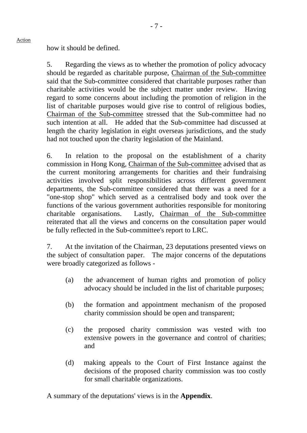how it should be defined.

Action

5. Regarding the views as to whether the promotion of policy advocacy should be regarded as charitable purpose, Chairman of the Sub-committee said that the Sub-committee considered that charitable purposes rather than charitable activities would be the subject matter under review. Having regard to some concerns about including the promotion of religion in the list of charitable purposes would give rise to control of religious bodies, Chairman of the Sub-committee stressed that the Sub-committee had no such intention at all. He added that the Sub-committee had discussed at length the charity legislation in eight overseas jurisdictions, and the study had not touched upon the charity legislation of the Mainland.

6. In relation to the proposal on the establishment of a charity commission in Hong Kong, Chairman of the Sub-committee advised that as the current monitoring arrangements for charities and their fundraising activities involved split responsibilities across different government departments, the Sub-committee considered that there was a need for a "one-stop shop" which served as a centralised body and took over the functions of the various government authorities responsible for monitoring charitable organisations. Lastly, Chairman of the Sub-committee reiterated that all the views and concerns on the consultation paper would be fully reflected in the Sub-committee's report to LRC.

7. At the invitation of the Chairman, 23 deputations presented views on the subject of consultation paper. The major concerns of the deputations were broadly categorized as follows -

- (a) the advancement of human rights and promotion of policy advocacy should be included in the list of charitable purposes;
- (b) the formation and appointment mechanism of the proposed charity commission should be open and transparent;
- (c) the proposed charity commission was vested with too extensive powers in the governance and control of charities; and
- (d) making appeals to the Court of First Instance against the decisions of the proposed charity commission was too costly for small charitable organizations.

A summary of the deputations' views is in the **Appendix**.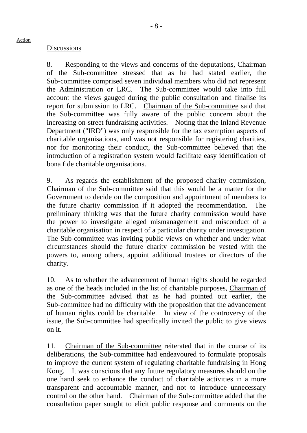## **Discussions**

8. Responding to the views and concerns of the deputations, Chairman of the Sub-committee stressed that as he had stated earlier, the Sub-committee comprised seven individual members who did not represent the Administration or LRC. The Sub-committee would take into full account the views gauged during the public consultation and finalise its report for submission to LRC. Chairman of the Sub-committee said that the Sub-committee was fully aware of the public concern about the increasing on-street fundraising activities. Noting that the Inland Revenue Department ("IRD") was only responsible for the tax exemption aspects of charitable organisations, and was not responsible for registering charities, nor for monitoring their conduct, the Sub-committee believed that the introduction of a registration system would facilitate easy identification of bona fide charitable organisations.

9. As regards the establishment of the proposed charity commission, Chairman of the Sub-committee said that this would be a matter for the Government to decide on the composition and appointment of members to the future charity commission if it adopted the recommendation. The preliminary thinking was that the future charity commission would have the power to investigate alleged mismanagement and misconduct of a charitable organisation in respect of a particular charity under investigation. The Sub-committee was inviting public views on whether and under what circumstances should the future charity commission be vested with the powers to, among others, appoint additional trustees or directors of the charity.

10. As to whether the advancement of human rights should be regarded as one of the heads included in the list of charitable purposes, Chairman of the Sub-committee advised that as he had pointed out earlier, the Sub-committee had no difficulty with the proposition that the advancement of human rights could be charitable. In view of the controversy of the issue, the Sub-committee had specifically invited the public to give views on it.

11. Chairman of the Sub-committee reiterated that in the course of its deliberations, the Sub-committee had endeavoured to formulate proposals to improve the current system of regulating charitable fundraising in Hong Kong. It was conscious that any future regulatory measures should on the one hand seek to enhance the conduct of charitable activities in a more transparent and accountable manner, and not to introduce unnecessary control on the other hand. Chairman of the Sub-committee added that the consultation paper sought to elicit public response and comments on the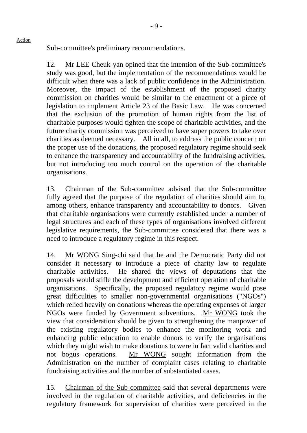Sub-committee's preliminary recommendations.

Action

12. Mr LEE Cheuk-yan opined that the intention of the Sub-committee's study was good, but the implementation of the recommendations would be difficult when there was a lack of public confidence in the Administration. Moreover, the impact of the establishment of the proposed charity commission on charities would be similar to the enactment of a piece of legislation to implement Article 23 of the Basic Law. He was concerned that the exclusion of the promotion of human rights from the list of charitable purposes would tighten the scope of charitable activities, and the future charity commission was perceived to have super powers to take over charities as deemed necessary. All in all, to address the public concern on the proper use of the donations, the proposed regulatory regime should seek to enhance the transparency and accountability of the fundraising activities, but not introducing too much control on the operation of the charitable organisations.

13. Chairman of the Sub-committee advised that the Sub-committee fully agreed that the purpose of the regulation of charities should aim to, among others, enhance transparency and accountability to donors. Given that charitable organisations were currently established under a number of legal structures and each of these types of organisations involved different legislative requirements, the Sub-committee considered that there was a need to introduce a regulatory regime in this respect.

14. Mr WONG Sing-chi said that he and the Democratic Party did not consider it necessary to introduce a piece of charity law to regulate charitable activities. He shared the views of deputations that the proposals would stifle the development and efficient operation of charitable organisations. Specifically, the proposed regulatory regime would pose great difficulties to smaller non-governmental organisations ("NGOs") which relied heavily on donations whereas the operating expenses of larger NGOs were funded by Government subventions. Mr WONG took the view that consideration should be given to strengthening the manpower of the existing regulatory bodies to enhance the monitoring work and enhancing public education to enable donors to verify the organisations which they might wish to make donations to were in fact valid charities and not bogus operations. Mr WONG sought information from the Administration on the number of complaint cases relating to charitable fundraising activities and the number of substantiated cases.

15. Chairman of the Sub-committee said that several departments were involved in the regulation of charitable activities, and deficiencies in the regulatory framework for supervision of charities were perceived in the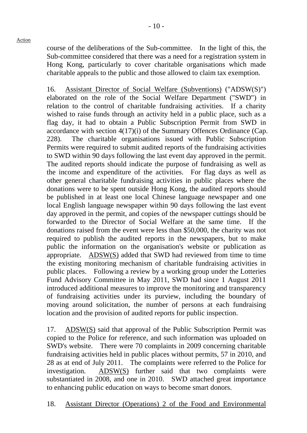course of the deliberations of the Sub-committee. In the light of this, the Sub-committee considered that there was a need for a registration system in Hong Kong, particularly to cover charitable organisations which made charitable appeals to the public and those allowed to claim tax exemption.

16. Assistant Director of Social Welfare (Subventions) ("ADSW(S)") elaborated on the role of the Social Welfare Department ("SWD") in relation to the control of charitable fundraising activities. If a charity wished to raise funds through an activity held in a public place, such as a flag day, it had to obtain a Public Subscription Permit from SWD in accordance with section 4(17)(i) of the Summary Offences Ordinance (Cap. 228). The charitable organisations issued with Public Subscription Permits were required to submit audited reports of the fundraising activities to SWD within 90 days following the last event day approved in the permit. The audited reports should indicate the purpose of fundraising as well as the income and expenditure of the activities. For flag days as well as other general charitable fundraising activities in public places where the donations were to be spent outside Hong Kong, the audited reports should be published in at least one local Chinese language newspaper and one local English language newspaper within 90 days following the last event day approved in the permit, and copies of the newspaper cuttings should be forwarded to the Director of Social Welfare at the same time. If the donations raised from the event were less than \$50,000, the charity was not required to publish the audited reports in the newspapers, but to make public the information on the organisation's website or publication as appropriate. ADSW(S) added that SWD had reviewed from time to time the existing monitoring mechanism of charitable fundraising activities in public places. Following a review by a working group under the Lotteries Fund Advisory Committee in May 2011, SWD had since 1 August 2011 introduced additional measures to improve the monitoring and transparency of fundraising activities under its purview, including the boundary of moving around solicitation, the number of persons at each fundraising location and the provision of audited reports for public inspection.

17. ADSW(S) said that approval of the Public Subscription Permit was copied to the Police for reference, and such information was uploaded on SWD's website. There were 70 complaints in 2009 concerning charitable fundraising activities held in public places without permits, 57 in 2010, and 28 as at end of July 2011. The complaints were referred to the Police for investigation. ADSW(S) further said that two complaints were substantiated in 2008, and one in 2010. SWD attached great importance to enhancing public education on ways to become smart donors.

18. Assistant Director (Operations) 2 of the Food and Environmental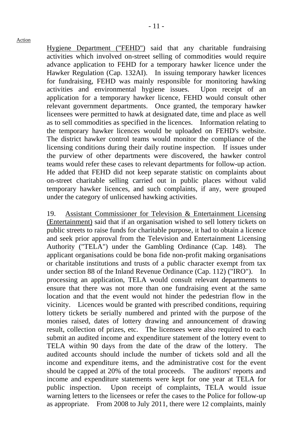Hygiene Department ("FEHD") said that any charitable fundraising activities which involved on-street selling of commodities would require advance application to FEHD for a temporary hawker licence under the Hawker Regulation (Cap. 132AI). In issuing temporary hawker licences for fundraising, FEHD was mainly responsible for monitoring hawking activities and environmental hygiene issues. Upon receipt of an application for a temporary hawker licence, FEHD would consult other relevant government departments. Once granted, the temporary hawker licensees were permitted to hawk at designated date, time and place as well as to sell commodities as specified in the licences. Information relating to the temporary hawker licences would be uploaded on FEHD's website. The district hawker control teams would monitor the compliance of the licensing conditions during their daily routine inspection. If issues under the purview of other departments were discovered, the hawker control teams would refer these cases to relevant departments for follow-up action. He added that FEHD did not keep separate statistic on complaints about on-street charitable selling carried out in public places without valid temporary hawker licences, and such complaints, if any, were grouped under the category of unlicensed hawking activities.

19. Assistant Commissioner for Television & Entertainment Licensing (Entertainment) said that if an organisation wished to sell lottery tickets on public streets to raise funds for charitable purpose, it had to obtain a licence and seek prior approval from the Television and Entertainment Licensing Authority ("TELA") under the Gambling Ordinance (Cap. 148). The applicant organisations could be bona fide non-profit making organisations or charitable institutions and trusts of a public character exempt from tax under section 88 of the Inland Revenue Ordinance (Cap. 112) ("IRO"). In processing an application, TELA would consult relevant departments to ensure that there was not more than one fundraising event at the same location and that the event would not hinder the pedestrian flow in the vicinity. Licences would be granted with prescribed conditions, requiring lottery tickets be serially numbered and printed with the purpose of the monies raised, dates of lottery drawing and announcement of drawing result, collection of prizes, etc. The licensees were also required to each submit an audited income and expenditure statement of the lottery event to TELA within 90 days from the date of the draw of the lottery. The audited accounts should include the number of tickets sold and all the income and expenditure items, and the administrative cost for the event should be capped at 20% of the total proceeds. The auditors' reports and income and expenditure statements were kept for one year at TELA for public inspection. Upon receipt of complaints, TELA would issue warning letters to the licensees or refer the cases to the Police for follow-up as appropriate. From 2008 to July 2011, there were 12 complaints, mainly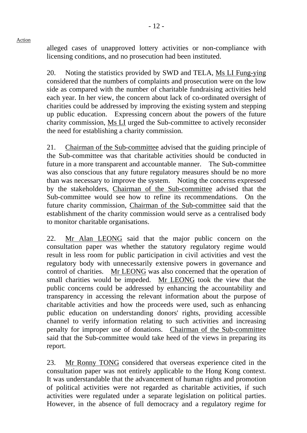alleged cases of unapproved lottery activities or non-compliance with licensing conditions, and no prosecution had been instituted.

20. Noting the statistics provided by SWD and TELA, Ms LI Fung-ying considered that the numbers of complaints and prosecution were on the low side as compared with the number of charitable fundraising activities held each year. In her view, the concern about lack of co-ordinated oversight of charities could be addressed by improving the existing system and stepping up public education. Expressing concern about the powers of the future charity commission, Ms LI urged the Sub-committee to actively reconsider the need for establishing a charity commission.

21. Chairman of the Sub-committee advised that the guiding principle of the Sub-committee was that charitable activities should be conducted in future in a more transparent and accountable manner. The Sub-committee was also conscious that any future regulatory measures should be no more than was necessary to improve the system. Noting the concerns expressed by the stakeholders, Chairman of the Sub-committee advised that the Sub-committee would see how to refine its recommendations. On the future charity commission, Chairman of the Sub-committee said that the establishment of the charity commission would serve as a centralised body to monitor charitable organisations.

22. Mr Alan LEONG said that the major public concern on the consultation paper was whether the statutory regulatory regime would result in less room for public participation in civil activities and vest the regulatory body with unnecessarily extensive powers in governance and control of charities. Mr LEONG was also concerned that the operation of small charities would be impeded. Mr LEONG took the view that the public concerns could be addressed by enhancing the accountability and transparency in accessing the relevant information about the purpose of charitable activities and how the proceeds were used, such as enhancing public education on understanding donors' rights, providing accessible channel to verify information relating to such activities and increasing penalty for improper use of donations. Chairman of the Sub-committee said that the Sub-committee would take heed of the views in preparing its report.

23. Mr Ronny TONG considered that overseas experience cited in the consultation paper was not entirely applicable to the Hong Kong context. It was understandable that the advancement of human rights and promotion of political activities were not regarded as charitable activities, if such activities were regulated under a separate legislation on political parties. However, in the absence of full democracy and a regulatory regime for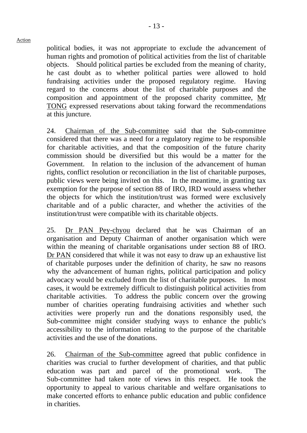political bodies, it was not appropriate to exclude the advancement of human rights and promotion of political activities from the list of charitable objects. Should political parties be excluded from the meaning of charity, he cast doubt as to whether political parties were allowed to hold fundraising activities under the proposed regulatory regime. Having regard to the concerns about the list of charitable purposes and the composition and appointment of the proposed charity committee, Mr TONG expressed reservations about taking forward the recommendations at this juncture.

24. Chairman of the Sub-committee said that the Sub-committee considered that there was a need for a regulatory regime to be responsible for charitable activities, and that the composition of the future charity commission should be diversified but this would be a matter for the Government. In relation to the inclusion of the advancement of human rights, conflict resolution or reconciliation in the list of charitable purposes, public views were being invited on this. In the meantime, in granting tax exemption for the purpose of section 88 of IRO, IRD would assess whether the objects for which the institution/trust was formed were exclusively charitable and of a public character, and whether the activities of the institution/trust were compatible with its charitable objects.

25. Dr PAN Pey-chyou declared that he was Chairman of an organisation and Deputy Chairman of another organisation which were within the meaning of charitable organisations under section 88 of IRO. Dr PAN considered that while it was not easy to draw up an exhaustive list of charitable purposes under the definition of charity, he saw no reasons why the advancement of human rights, political participation and policy advocacy would be excluded from the list of charitable purposes. In most cases, it would be extremely difficult to distinguish political activities from charitable activities. To address the public concern over the growing number of charities operating fundraising activities and whether such activities were properly run and the donations responsibly used, the Sub-committee might consider studying ways to enhance the public's accessibility to the information relating to the purpose of the charitable activities and the use of the donations.

26. Chairman of the Sub-committee agreed that public confidence in charities was crucial to further development of charities, and that public education was part and parcel of the promotional work. The Sub-committee had taken note of views in this respect. He took the opportunity to appeal to various charitable and welfare organisations to make concerted efforts to enhance public education and public confidence in charities.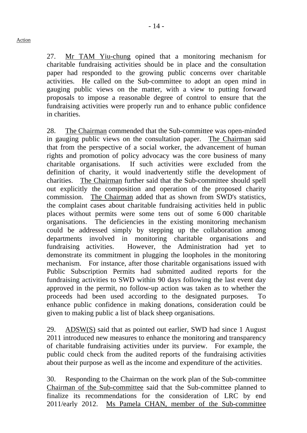27. Mr TAM Yiu-chung opined that a monitoring mechanism for charitable fundraising activities should be in place and the consultation paper had responded to the growing public concerns over charitable activities. He called on the Sub-committee to adopt an open mind in gauging public views on the matter, with a view to putting forward proposals to impose a reasonable degree of control to ensure that the fundraising activities were properly run and to enhance public confidence in charities.

28. The Chairman commended that the Sub-committee was open-minded in gauging public views on the consultation paper. The Chairman said that from the perspective of a social worker, the advancement of human rights and promotion of policy advocacy was the core business of many charitable organisations. If such activities were excluded from the definition of charity, it would inadvertently stifle the development of charities. The Chairman further said that the Sub-committee should spell out explicitly the composition and operation of the proposed charity commission. The Chairman added that as shown from SWD's statistics, the complaint cases about charitable fundraising activities held in public places without permits were some tens out of some 6,000 charitable organisations. The deficiencies in the existing monitoring mechanism could be addressed simply by stepping up the collaboration among departments involved in monitoring charitable organisations and fundraising activities. However, the Administration had yet to demonstrate its commitment in plugging the loopholes in the monitoring mechanism. For instance, after those charitable organisations issued with Public Subscription Permits had submitted audited reports for the fundraising activities to SWD within 90 days following the last event day approved in the permit, no follow-up action was taken as to whether the proceeds had been used according to the designated purposes. To enhance public confidence in making donations, consideration could be given to making public a list of black sheep organisations.

29. ADSW(S) said that as pointed out earlier, SWD had since 1 August 2011 introduced new measures to enhance the monitoring and transparency of charitable fundraising activities under its purview. For example, the public could check from the audited reports of the fundraising activities about their purpose as well as the income and expenditure of the activities.

30. Responding to the Chairman on the work plan of the Sub-committee Chairman of the Sub-committee said that the Sub-committee planned to finalize its recommendations for the consideration of LRC by end 2011/early 2012. Ms Pamela CHAN, member of the Sub-committee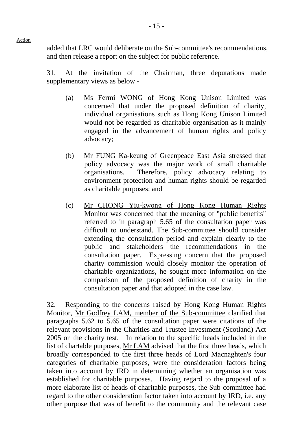added that LRC would deliberate on the Sub-committee's recommendations, and then release a report on the subject for public reference.

31. At the invitation of the Chairman, three deputations made supplementary views as below -

- (a) Ms Fermi WONG of Hong Kong Unison Limited was concerned that under the proposed definition of charity, individual organisations such as Hong Kong Unison Limited would not be regarded as charitable organisation as it mainly engaged in the advancement of human rights and policy advocacy;
- (b) Mr FUNG Ka-keung of Greenpeace East Asia stressed that policy advocacy was the major work of small charitable organisations. Therefore, policy advocacy relating to environment protection and human rights should be regarded as charitable purposes; and
- (c) Mr CHONG Yiu-kwong of Hong Kong Human Rights Monitor was concerned that the meaning of "public benefits" referred to in paragraph 5.65 of the consultation paper was difficult to understand. The Sub-committee should consider extending the consultation period and explain clearly to the public and stakeholders the recommendations in the consultation paper. Expressing concern that the proposed charity commission would closely monitor the operation of charitable organizations, he sought more information on the comparison of the proposed definition of charity in the consultation paper and that adopted in the case law.

32. Responding to the concerns raised by Hong Kong Human Rights Monitor, Mr Godfrey LAM, member of the Sub-committee clarified that paragraphs 5.62 to 5.65 of the consultation paper were citations of the relevant provisions in the Charities and Trustee Investment (Scotland) Act 2005 on the charity test. In relation to the specific heads included in the list of chartable purposes, Mr LAM advised that the first three heads, which broadly corresponded to the first three heads of Lord Macnaghten's four categories of charitable purposes, were the consideration factors being taken into account by IRD in determining whether an organisation was established for charitable purposes. Having regard to the proposal of a more elaborate list of heads of charitable purposes, the Sub-committee had regard to the other consideration factor taken into account by IRD, i.e. any other purpose that was of benefit to the community and the relevant case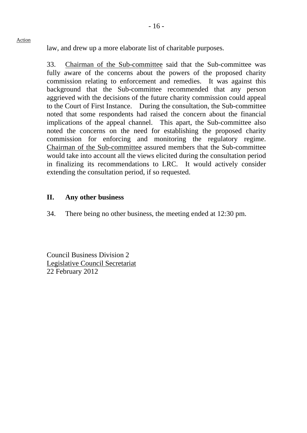law, and drew up a more elaborate list of charitable purposes.

33. Chairman of the Sub-committee said that the Sub-committee was fully aware of the concerns about the powers of the proposed charity commission relating to enforcement and remedies. It was against this background that the Sub-committee recommended that any person aggrieved with the decisions of the future charity commission could appeal to the Court of First Instance. During the consultation, the Sub-committee noted that some respondents had raised the concern about the financial implications of the appeal channel. This apart, the Sub-committee also noted the concerns on the need for establishing the proposed charity commission for enforcing and monitoring the regulatory regime. Chairman of the Sub-committee assured members that the Sub-committee would take into account all the views elicited during the consultation period in finalizing its recommendations to LRC. It would actively consider extending the consultation period, if so requested.

# **II. Any other business**

34. There being no other business, the meeting ended at 12:30 pm.

Council Business Division 2 Legislative Council Secretariat 22 February 2012

#### Action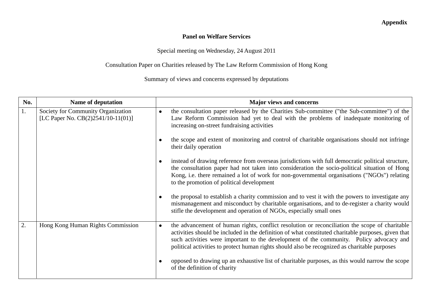## **Appendix**

#### **Panel on Welfare Services**

Special meeting on Wednesday, 24 August 2011

## Consultation Paper on Charities released by The Law Reform Commission of Hong Kong

Summary of views and concerns expressed by deputations

| No. | <b>Name of deputation</b>                                                   | <b>Major views and concerns</b>                                                                                                                                                                                                                                                                                                                                                                                |
|-----|-----------------------------------------------------------------------------|----------------------------------------------------------------------------------------------------------------------------------------------------------------------------------------------------------------------------------------------------------------------------------------------------------------------------------------------------------------------------------------------------------------|
| 1.  | Society for Community Organization<br>[LC Paper No. $CB(2)2541/10-11(01)$ ] | the consultation paper released by the Charities Sub-committee ("the Sub-committee") of the<br>$\bullet$<br>Law Reform Commission had yet to deal with the problems of inadequate monitoring of<br>increasing on-street fundraising activities                                                                                                                                                                 |
|     |                                                                             | the scope and extent of monitoring and control of charitable organisations should not infringe<br>their daily operation                                                                                                                                                                                                                                                                                        |
|     |                                                                             | instead of drawing reference from overseas jurisdictions with full democratic political structure,<br>the consultation paper had not taken into consideration the socio-political situation of Hong<br>Kong, i.e. there remained a lot of work for non-governmental organisations ("NGOs") relating<br>to the promotion of political development                                                               |
|     |                                                                             | the proposal to establish a charity commission and to vest it with the powers to investigate any<br>mismanagement and misconduct by charitable organisations, and to de-register a charity would<br>stifle the development and operation of NGOs, especially small ones                                                                                                                                        |
| 2.  | Hong Kong Human Rights Commission                                           | the advancement of human rights, conflict resolution or reconciliation the scope of charitable<br>$\bullet$<br>activities should be included in the definition of what constituted charitable purposes, given that<br>such activities were important to the development of the community. Policy advocacy and<br>political activities to protect human rights should also be recognized as charitable purposes |
|     |                                                                             | opposed to drawing up an exhaustive list of charitable purposes, as this would narrow the scope<br>of the definition of charity                                                                                                                                                                                                                                                                                |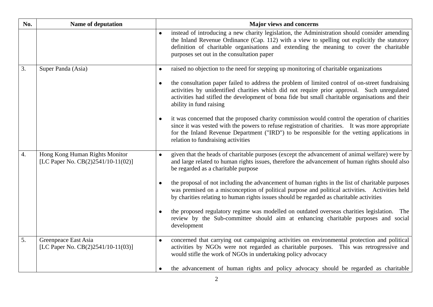| No. | Name of deputation                                                   | <b>Major views and concerns</b>                                                                                                                                                                                                                                                                                                             |
|-----|----------------------------------------------------------------------|---------------------------------------------------------------------------------------------------------------------------------------------------------------------------------------------------------------------------------------------------------------------------------------------------------------------------------------------|
|     |                                                                      | instead of introducing a new charity legislation, the Administration should consider amending<br>the Inland Revenue Ordinance (Cap. 112) with a view to spelling out explicitly the statutory<br>definition of charitable organisations and extending the meaning to cover the charitable<br>purposes set out in the consultation paper     |
| 3.  | Super Panda (Asia)                                                   | raised no objection to the need for stepping up monitoring of charitable organizations<br>$\bullet$                                                                                                                                                                                                                                         |
|     |                                                                      | the consultation paper failed to address the problem of limited control of on-street fundraising<br>$\bullet$<br>activities by unidentified charities which did not require prior approval. Such unregulated<br>activities had stifled the development of bona fide but small charitable organisations and their<br>ability in fund raising |
|     |                                                                      | it was concerned that the proposed charity commission would control the operation of charities<br>since it was vested with the powers to refuse registration of charities. It was more appropriate<br>for the Inland Revenue Department ("IRD") to be responsible for the vetting applications in<br>relation to fundraising activities     |
| 4.  | Hong Kong Human Rights Monitor<br>[LC Paper No. CB(2)2541/10-11(02)] | given that the heads of charitable purposes (except the advancement of animal welfare) were by<br>and large related to human rights issues, therefore the advancement of human rights should also<br>be regarded as a charitable purpose                                                                                                    |
|     |                                                                      | the proposal of not including the advancement of human rights in the list of charitable purposes<br>was premised on a misconception of political purpose and political activities. Activities held<br>by charities relating to human rights issues should be regarded as charitable activities                                              |
|     |                                                                      | the proposed regulatory regime was modelled on outdated overseas charities legislation. The<br>review by the Sub-committee should aim at enhancing charitable purposes and social<br>development                                                                                                                                            |
| 5.  | Greenpeace East Asia<br>[LC Paper No. CB(2)2541/10-11(03)]           | concerned that carrying out campaigning activities on environmental protection and political<br>activities by NGOs were not regarded as charitable purposes.<br>This was retrogressive and<br>would stifle the work of NGOs in undertaking policy advocacy                                                                                  |
|     |                                                                      | the advancement of human rights and policy advocacy should be regarded as charitable                                                                                                                                                                                                                                                        |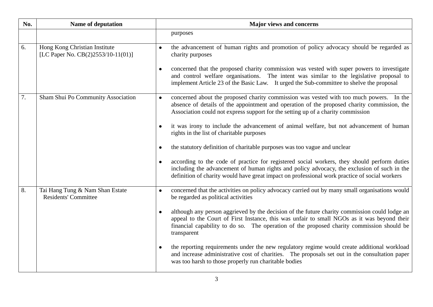| No. | Name of deputation                                                  | <b>Major views and concerns</b>                                                                                                                                                                                                                                                                          |
|-----|---------------------------------------------------------------------|----------------------------------------------------------------------------------------------------------------------------------------------------------------------------------------------------------------------------------------------------------------------------------------------------------|
|     |                                                                     | purposes                                                                                                                                                                                                                                                                                                 |
| 6.  | Hong Kong Christian Institute<br>[LC Paper No. CB(2)2553/10-11(01)] | the advancement of human rights and promotion of policy advocacy should be regarded as<br>$\bullet$<br>charity purposes                                                                                                                                                                                  |
|     |                                                                     | concerned that the proposed charity commission was vested with super powers to investigate<br>and control welfare organisations. The intent was similar to the legislative proposal to<br>implement Article 23 of the Basic Law. It urged the Sub-committee to shelve the proposal                       |
| 7.  | Sham Shui Po Community Association                                  | concerned about the proposed charity commission was vested with too much powers. In the<br>$\bullet$<br>absence of details of the appointment and operation of the proposed charity commission, the<br>Association could not express support for the setting up of a charity commission                  |
|     |                                                                     | it was irony to include the advancement of animal welfare, but not advancement of human<br>rights in the list of charitable purposes                                                                                                                                                                     |
|     |                                                                     | the statutory definition of charitable purposes was too vague and unclear                                                                                                                                                                                                                                |
|     |                                                                     | according to the code of practice for registered social workers, they should perform duties<br>including the advancement of human rights and policy advocacy, the exclusion of such in the<br>definition of charity would have great impact on professional work practice of social workers              |
| 8.  | Tai Hang Tung & Nam Shan Estate<br><b>Residents' Committee</b>      | concerned that the activities on policy advocacy carried out by many small organisations would<br>be regarded as political activities                                                                                                                                                                    |
|     |                                                                     | although any person aggrieved by the decision of the future charity commission could lodge an<br>appeal to the Court of First Instance, this was unfair to small NGOs as it was beyond their<br>financial capability to do so. The operation of the proposed charity commission should be<br>transparent |
|     |                                                                     | the reporting requirements under the new regulatory regime would create additional workload<br>and increase administrative cost of charities. The proposals set out in the consultation paper<br>was too harsh to those properly run charitable bodies                                                   |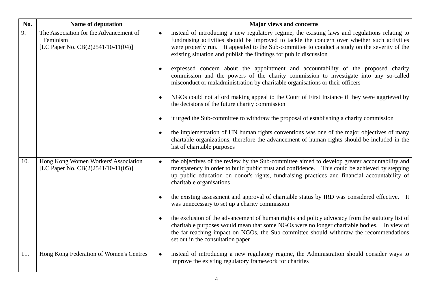| No. | <b>Name of deputation</b>                                                                | <b>Major views and concerns</b>                                                                                                                                                                                                                                                                                                                                                                                                                                                                                                                                                                                                                                                                                                                                                                                                                                                                                                                                                                                                                                                                               |
|-----|------------------------------------------------------------------------------------------|---------------------------------------------------------------------------------------------------------------------------------------------------------------------------------------------------------------------------------------------------------------------------------------------------------------------------------------------------------------------------------------------------------------------------------------------------------------------------------------------------------------------------------------------------------------------------------------------------------------------------------------------------------------------------------------------------------------------------------------------------------------------------------------------------------------------------------------------------------------------------------------------------------------------------------------------------------------------------------------------------------------------------------------------------------------------------------------------------------------|
| 9.  | The Association for the Advancement of<br>Feminism<br>[LC Paper No. CB(2)2541/10-11(04)] | instead of introducing a new regulatory regime, the existing laws and regulations relating to<br>fundraising activities should be improved to tackle the concern over whether such activities<br>were properly run. It appealed to the Sub-committee to conduct a study on the severity of the<br>existing situation and publish the findings for public discussion<br>expressed concern about the appointment and accountability of the proposed charity<br>commission and the powers of the charity commission to investigate into any so-called<br>misconduct or maladministration by charitable organisations or their officers<br>NGOs could not afford making appeal to the Court of First Instance if they were aggrieved by<br>the decisions of the future charity commission<br>it urged the Sub-committee to withdraw the proposal of establishing a charity commission<br>the implementation of UN human rights conventions was one of the major objectives of many<br>chartable organizations, therefore the advancement of human rights should be included in the<br>list of charitable purposes |
| 10. | Hong Kong Women Workers' Association<br>[LC Paper No. CB(2)2541/10-11(05)]               | the objectives of the review by the Sub-committee aimed to develop greater accountability and<br>$\bullet$<br>transparency in order to build public trust and confidence. This could be achieved by stepping<br>up public education on donor's rights, fundraising practices and financial accountability of<br>charitable organisations<br>the existing assessment and approval of charitable status by IRD was considered effective. It<br>was unnecessary to set up a charity commission<br>the exclusion of the advancement of human rights and policy advocacy from the statutory list of<br>charitable purposes would mean that some NGOs were no longer charitable bodies. In view of<br>the far-reaching impact on NGOs, the Sub-committee should withdraw the recommendations<br>set out in the consultation paper                                                                                                                                                                                                                                                                                   |
| 11. | Hong Kong Federation of Women's Centres                                                  | instead of introducing a new regulatory regime, the Administration should consider ways to<br>$\bullet$<br>improve the existing regulatory framework for charities                                                                                                                                                                                                                                                                                                                                                                                                                                                                                                                                                                                                                                                                                                                                                                                                                                                                                                                                            |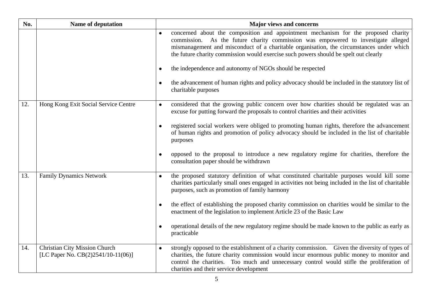| No. | Name of deputation                                                         | <b>Major views and concerns</b>                                                                                                                                                                                                                                                                                                                                                                                                                                                                                                                                            |
|-----|----------------------------------------------------------------------------|----------------------------------------------------------------------------------------------------------------------------------------------------------------------------------------------------------------------------------------------------------------------------------------------------------------------------------------------------------------------------------------------------------------------------------------------------------------------------------------------------------------------------------------------------------------------------|
|     |                                                                            | concerned about the composition and appointment mechanism for the proposed charity<br>$\bullet$<br>commission. As the future charity commission was empowered to investigate alleged<br>mismanagement and misconduct of a charitable organisation, the circumstances under which<br>the future charity commission would exercise such powers should be spelt out clearly<br>the independence and autonomy of NGOs should be respected<br>the advancement of human rights and policy advocacy should be included in the statutory list of<br>charitable purposes            |
| 12. | Hong Kong Exit Social Service Centre                                       | considered that the growing public concern over how charities should be regulated was an<br>$\bullet$<br>excuse for putting forward the proposals to control charities and their activities<br>registered social workers were obliged to promoting human rights, therefore the advancement<br>of human rights and promotion of policy advocacy should be included in the list of charitable<br>purposes                                                                                                                                                                    |
|     |                                                                            | opposed to the proposal to introduce a new regulatory regime for charities, therefore the<br>consultation paper should be withdrawn                                                                                                                                                                                                                                                                                                                                                                                                                                        |
| 13. | <b>Family Dynamics Network</b>                                             | the proposed statutory definition of what constituted charitable purposes would kill some<br>$\bullet$<br>charities particularly small ones engaged in activities not being included in the list of charitable<br>purposes, such as promotion of family harmony<br>the effect of establishing the proposed charity commission on charities would be similar to the<br>enactment of the legislation to implement Article 23 of the Basic Law<br>operational details of the new regulatory regime should be made known to the public as early as<br>$\bullet$<br>practicable |
| 14. | <b>Christian City Mission Church</b><br>[LC Paper No. CB(2)2541/10-11(06)] | strongly opposed to the establishment of a charity commission. Given the diversity of types of<br>$\bullet$<br>charities, the future charity commission would incur enormous public money to monitor and<br>control the charities. Too much and unnecessary control would stifle the proliferation of<br>charities and their service development                                                                                                                                                                                                                           |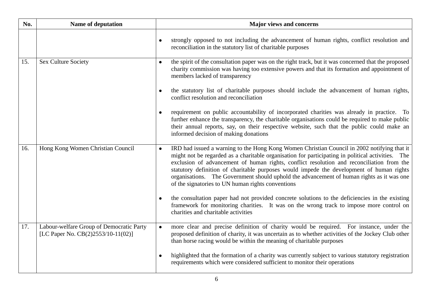| No. | Name of deputation                                                             | <b>Major views and concerns</b>                                                                                                                                                                                                                                                                                                                                                                                                                                                                                                                          |
|-----|--------------------------------------------------------------------------------|----------------------------------------------------------------------------------------------------------------------------------------------------------------------------------------------------------------------------------------------------------------------------------------------------------------------------------------------------------------------------------------------------------------------------------------------------------------------------------------------------------------------------------------------------------|
|     |                                                                                | strongly opposed to not including the advancement of human rights, conflict resolution and<br>$\bullet$<br>reconciliation in the statutory list of charitable purposes                                                                                                                                                                                                                                                                                                                                                                                   |
| 15. | <b>Sex Culture Society</b>                                                     | the spirit of the consultation paper was on the right track, but it was concerned that the proposed<br>$\bullet$<br>charity commission was having too extensive powers and that its formation and appointment of<br>members lacked of transparency                                                                                                                                                                                                                                                                                                       |
|     |                                                                                | the statutory list of charitable purposes should include the advancement of human rights,<br>conflict resolution and reconciliation                                                                                                                                                                                                                                                                                                                                                                                                                      |
|     |                                                                                | requirement on public accountability of incorporated charities was already in practice. To<br>further enhance the transparency, the charitable organisations could be required to make public<br>their annual reports, say, on their respective website, such that the public could make an<br>informed decision of making donations                                                                                                                                                                                                                     |
| 16. | Hong Kong Women Christian Council                                              | IRD had issued a warning to the Hong Kong Women Christian Council in 2002 notifying that it<br>$\bullet$<br>might not be regarded as a charitable organisation for participating in political activities. The<br>exclusion of advancement of human rights, conflict resolution and reconciliation from the<br>statutory definition of charitable purposes would impede the development of human rights<br>organisations. The Government should uphold the advancement of human rights as it was one<br>of the signatories to UN human rights conventions |
|     |                                                                                | the consultation paper had not provided concrete solutions to the deficiencies in the existing<br>framework for monitoring charities. It was on the wrong track to impose more control on<br>charities and charitable activities                                                                                                                                                                                                                                                                                                                         |
| 17. | Labour-welfare Group of Democratic Party<br>[LC Paper No. CB(2)2553/10-11(02)] | more clear and precise definition of charity would be required. For instance, under the<br>proposed definition of charity, it was uncertain as to whether activities of the Jockey Club other<br>than horse racing would be within the meaning of charitable purposes                                                                                                                                                                                                                                                                                    |
|     |                                                                                | highlighted that the formation of a charity was currently subject to various statutory registration<br>$\bullet$<br>requirements which were considered sufficient to monitor their operations                                                                                                                                                                                                                                                                                                                                                            |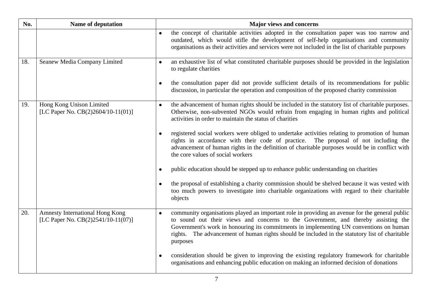| No. | Name of deputation                                                    | <b>Major views and concerns</b>                                                                                                                                                                                                                                                                                                                                                              |
|-----|-----------------------------------------------------------------------|----------------------------------------------------------------------------------------------------------------------------------------------------------------------------------------------------------------------------------------------------------------------------------------------------------------------------------------------------------------------------------------------|
|     |                                                                       | the concept of charitable activities adopted in the consultation paper was too narrow and<br>$\bullet$<br>outdated, which would stifle the development of self-help organisations and community<br>organisations as their activities and services were not included in the list of charitable purposes                                                                                       |
| 18. | Seanew Media Company Limited                                          | an exhaustive list of what constituted charitable purposes should be provided in the legislation<br>$\bullet$<br>to regulate charities                                                                                                                                                                                                                                                       |
|     |                                                                       | the consultation paper did not provide sufficient details of its recommendations for public<br>$\bullet$<br>discussion, in particular the operation and composition of the proposed charity commission                                                                                                                                                                                       |
| 19. | Hong Kong Unison Limited<br>[LC Paper No. CB(2)2604/10-11(01)]        | the advancement of human rights should be included in the statutory list of charitable purposes.<br>$\bullet$<br>Otherwise, non-subvented NGOs would refrain from engaging in human rights and political<br>activities in order to maintain the status of charities                                                                                                                          |
|     |                                                                       | registered social workers were obliged to undertake activities relating to promotion of human<br>rights in accordance with their code of practice. The proposal of not including the<br>advancement of human rights in the definition of charitable purposes would be in conflict with<br>the core values of social workers                                                                  |
|     |                                                                       | public education should be stepped up to enhance public understanding on charities                                                                                                                                                                                                                                                                                                           |
|     |                                                                       | the proposal of establishing a charity commission should be shelved because it was vested with<br>too much powers to investigate into charitable organizations with regard to their charitable<br>objects                                                                                                                                                                                    |
| 20. | Amnesty International Hong Kong<br>[LC Paper No. CB(2)2541/10-11(07)] | community organisations played an important role in providing an avenue for the general public<br>to sound out their views and concerns to the Government, and thereby assisting the<br>Government's work in honouring its commitments in implementing UN conventions on human<br>rights. The advancement of human rights should be included in the statutory list of charitable<br>purposes |
|     |                                                                       | consideration should be given to improving the existing regulatory framework for charitable<br>$\bullet$<br>organisations and enhancing public education on making an informed decision of donations                                                                                                                                                                                         |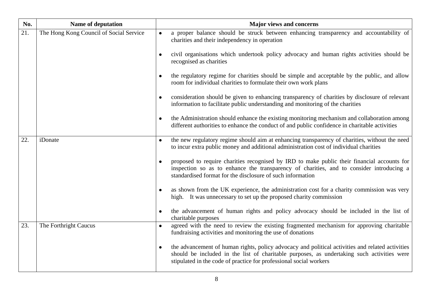| No. | Name of deputation                      | <b>Major views and concerns</b>                                                                                                                                                                                                                                      |
|-----|-----------------------------------------|----------------------------------------------------------------------------------------------------------------------------------------------------------------------------------------------------------------------------------------------------------------------|
| 21. | The Hong Kong Council of Social Service | a proper balance should be struck between enhancing transparency and accountability of<br>charities and their independency in operation                                                                                                                              |
|     |                                         | civil organisations which undertook policy advocacy and human rights activities should be<br>recognised as charities                                                                                                                                                 |
|     |                                         | the regulatory regime for charities should be simple and acceptable by the public, and allow<br>room for individual charities to formulate their own work plans                                                                                                      |
|     |                                         | consideration should be given to enhancing transparency of charities by disclosure of relevant<br>information to facilitate public understanding and monitoring of the charities                                                                                     |
|     |                                         | the Administration should enhance the existing monitoring mechanism and collaboration among<br>different authorities to enhance the conduct of and public confidence in charitable activities                                                                        |
| 22. | iDonate                                 | the new regulatory regime should aim at enhancing transparency of charities, without the need<br>to incur extra public money and additional administration cost of individual charities                                                                              |
|     |                                         | proposed to require charities recognised by IRD to make public their financial accounts for<br>inspection so as to enhance the transparency of charities, and to consider introducing a<br>standardised format for the disclosure of such information                |
|     |                                         | as shown from the UK experience, the administration cost for a charity commission was very<br>high. It was unnecessary to set up the proposed charity commission                                                                                                     |
|     |                                         | the advancement of human rights and policy advocacy should be included in the list of<br>charitable purposes                                                                                                                                                         |
| 23. | The Forthright Caucus                   | agreed with the need to review the existing fragmented mechanism for approving charitable<br>$\bullet$<br>fundraising activities and monitoring the use of donations                                                                                                 |
|     |                                         | the advancement of human rights, policy advocacy and political activities and related activities<br>should be included in the list of charitable purposes, as undertaking such activities were<br>stipulated in the code of practice for professional social workers |